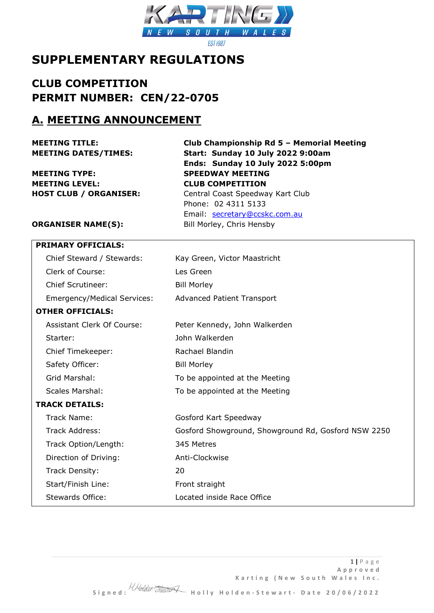

# **SUPPLEMENTARY REGULATIONS**

**CLUB COMPETITION PERMIT NUMBER: CEN/22-0705**

### **A. MEETING ANNOUNCEMENT**

**MEETING TYPE: SPEEDWAY MEETING MEETING LEVEL: CLUB COMPETITION**

**MEETING TITLE: Club Championship Rd 5 – Memorial Meeting MEETING DATES/TIMES: Start: Sunday 10 July 2022 9:00am Ends: Sunday 10 July 2022 5:00pm HOST CLUB / ORGANISER:** Central Coast Speedway Kart Club Phone: 02 4311 5133 Email: [secretary@ccskc.com.au](mailto:secretary@ccskc.com.au)

**ORGANISER NAME(S):** Bill Morley, Chris Hensby

|                       | <b>PRIMARY OFFICIALS:</b>          |                                                     |  |
|-----------------------|------------------------------------|-----------------------------------------------------|--|
|                       | Chief Steward / Stewards:          | Kay Green, Victor Maastricht                        |  |
|                       | Clerk of Course:                   | Les Green                                           |  |
|                       | Chief Scrutineer:                  | <b>Bill Morley</b>                                  |  |
|                       | <b>Emergency/Medical Services:</b> | <b>Advanced Patient Transport</b>                   |  |
|                       | <b>OTHER OFFICIALS:</b>            |                                                     |  |
|                       | Assistant Clerk Of Course:         | Peter Kennedy, John Walkerden                       |  |
|                       | Starter:                           | John Walkerden                                      |  |
|                       | Chief Timekeeper:                  | Rachael Blandin                                     |  |
|                       | Safety Officer:                    | <b>Bill Morley</b>                                  |  |
|                       | Grid Marshal:                      | To be appointed at the Meeting                      |  |
|                       | <b>Scales Marshal:</b>             | To be appointed at the Meeting                      |  |
| <b>TRACK DETAILS:</b> |                                    |                                                     |  |
|                       | Track Name:                        | Gosford Kart Speedway                               |  |
|                       | <b>Track Address:</b>              | Gosford Showground, Showground Rd, Gosford NSW 2250 |  |
|                       | Track Option/Length:               | 345 Metres                                          |  |
|                       | Direction of Driving:              | Anti-Clockwise                                      |  |
|                       | Track Density:                     | 20                                                  |  |
|                       | Start/Finish Line:                 | Front straight                                      |  |
|                       | Stewards Office:                   | Located inside Race Office                          |  |
|                       |                                    |                                                     |  |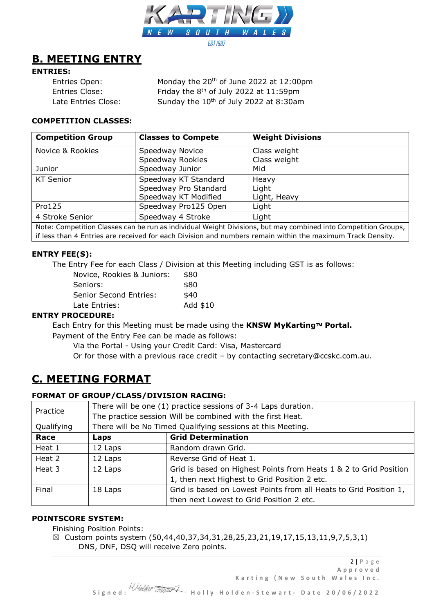

# **B. MEETING ENTRY**

### **ENTRIES:**

| Entries Open:       | Monday the 20 <sup>th</sup> of June 2022 at 12:00pm |
|---------------------|-----------------------------------------------------|
| Entries Close:      | Friday the 8 <sup>th</sup> of July 2022 at 11:59pm  |
| Late Entries Close: | Sunday the 10 <sup>th</sup> of July 2022 at 8:30am  |

### **COMPETITION CLASSES:**

| <b>Competition Group</b>                                                                                       | <b>Classes to Compete</b> | <b>Weight Divisions</b> |  |
|----------------------------------------------------------------------------------------------------------------|---------------------------|-------------------------|--|
| Novice & Rookies                                                                                               | Speedway Novice           | Class weight            |  |
|                                                                                                                | Speedway Rookies          | Class weight            |  |
| Junior                                                                                                         | Speedway Junior           | Mid                     |  |
| <b>KT Senior</b>                                                                                               | Speedway KT Standard      | Heavy                   |  |
|                                                                                                                | Speedway Pro Standard     | Light                   |  |
|                                                                                                                | Speedway KT Modified      | Light, Heavy            |  |
| Pro125                                                                                                         | Speedway Pro125 Open      | Light                   |  |
| 4 Stroke Senior                                                                                                | Speedway 4 Stroke         | Light                   |  |
| Note: Competition Classes can be run as individual Weight Divisions, but may combined into Competition Groups, |                           |                         |  |

if less than 4 Entries are received for each Division and numbers remain within the maximum Track Density.

### **ENTRY FEE(S):**

The Entry Fee for each Class / Division at this Meeting including GST is as follows:

| Novice, Rookies & Juniors:    | \$80     |
|-------------------------------|----------|
| Seniors:                      | \$80     |
| <b>Senior Second Entries:</b> | \$40     |
| Late Entries:                 | Add \$10 |
|                               |          |

### **ENTRY PROCEDURE:**

Each Entry for this Meeting must be made using the KNSW MyKarting™ Portal. Payment of the Entry Fee can be made as follows:

Via the Portal - Using your Credit Card: Visa, Mastercard

Or for those with a previous race credit – by contacting secretary@ccskc.com.au.

### **C. MEETING FORMAT**

### **FORMAT OF GROUP/CLASS/DIVISION RACING:**

| Practice   | There will be one (1) practice sessions of 3-4 Laps duration. |                                                                   |  |
|------------|---------------------------------------------------------------|-------------------------------------------------------------------|--|
|            | The practice session Will be combined with the first Heat.    |                                                                   |  |
| Qualifying | There will be No Timed Qualifying sessions at this Meeting.   |                                                                   |  |
| Race       | Laps                                                          | <b>Grid Determination</b>                                         |  |
| Heat 1     | 12 Laps                                                       | Random drawn Grid.                                                |  |
| Heat 2     | 12 Laps                                                       | Reverse Grid of Heat 1.                                           |  |
| Heat 3     | 12 Laps                                                       | Grid is based on Highest Points from Heats 1 & 2 to Grid Position |  |
|            |                                                               | 1, then next Highest to Grid Position 2 etc.                      |  |
| Final      | 18 Laps                                                       | Grid is based on Lowest Points from all Heats to Grid Position 1, |  |
|            |                                                               | then next Lowest to Grid Position 2 etc.                          |  |

#### **POINTSCORE SYSTEM:**

Finishing Position Points:

 $\boxtimes$  Custom points system (50,44,40,37,34,31,28,25,23,21,19,17,15,13,11,9,7,5,3,1) DNS, DNF, DSQ will receive Zero points.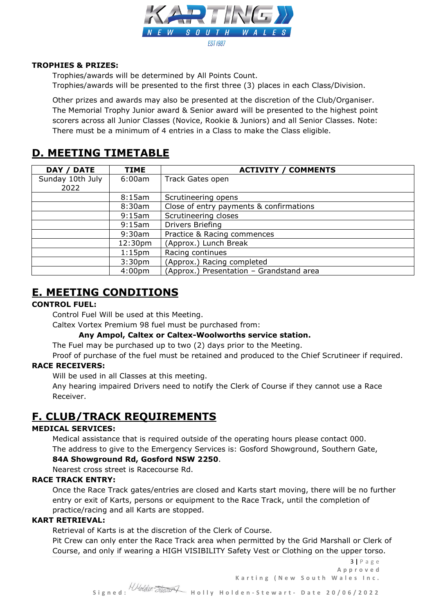

### **TROPHIES & PRIZES:**

Trophies/awards will be determined by All Points Count.

Trophies/awards will be presented to the first three (3) places in each Class/Division.

Other prizes and awards may also be presented at the discretion of the Club/Organiser. The Memorial Trophy Junior award & Senior award will be presented to the highest point scorers across all Junior Classes (Novice, Rookie & Juniors) and all Senior Classes. Note: There must be a minimum of 4 entries in a Class to make the Class eligible.

# **D. MEETING TIMETABLE**

| DAY / DATE       | <b>TIME</b>        | <b>ACTIVITY / COMMENTS</b>               |
|------------------|--------------------|------------------------------------------|
| Sunday 10th July | 6:00am             | Track Gates open                         |
| 2022             |                    |                                          |
|                  | 8:15am             | Scrutineering opens                      |
|                  | 8:30am             | Close of entry payments & confirmations  |
|                  | 9:15am             | Scrutineering closes                     |
|                  | 9:15am             | Drivers Briefing                         |
|                  | 9:30am             | Practice & Racing commences              |
|                  | 12:30pm            | (Approx.) Lunch Break                    |
|                  | 1:15 <sub>pm</sub> | Racing continues                         |
|                  | 3:30 <sub>pm</sub> | (Approx.) Racing completed               |
|                  | 4:00 <sub>pm</sub> | (Approx.) Presentation - Grandstand area |

# **E. MEETING CONDITIONS**

### **CONTROL FUEL:**

Control Fuel Will be used at this Meeting.

Caltex Vortex Premium 98 fuel must be purchased from:

**Any Ampol, Caltex or Caltex-Woolworths service station.**

The Fuel may be purchased up to two (2) days prior to the Meeting.

Proof of purchase of the fuel must be retained and produced to the Chief Scrutineer if required. **RACE RECEIVERS:**

Will be used in all Classes at this meeting.

Any hearing impaired Drivers need to notify the Clerk of Course if they cannot use a Race Receiver.

### **F. CLUB/TRACK REQUIREMENTS**

### **MEDICAL SERVICES:**

Medical assistance that is required outside of the operating hours please contact 000. The address to give to the Emergency Services is: Gosford Showground, Southern Gate, **84A Showground Rd, Gosford NSW 2250**.

Nearest cross street is Racecourse Rd.

### **RACE TRACK ENTRY:**

Once the Race Track gates/entries are closed and Karts start moving, there will be no further entry or exit of Karts, persons or equipment to the Race Track, until the completion of practice/racing and all Karts are stopped.

### **KART RETRIEVAL:**

Retrieval of Karts is at the discretion of the Clerk of Course.

Pit Crew can only enter the Race Track area when permitted by the Grid Marshall or Clerk of Course, and only if wearing a HIGH VISIBILITY Safety Vest or Clothing on the upper torso.